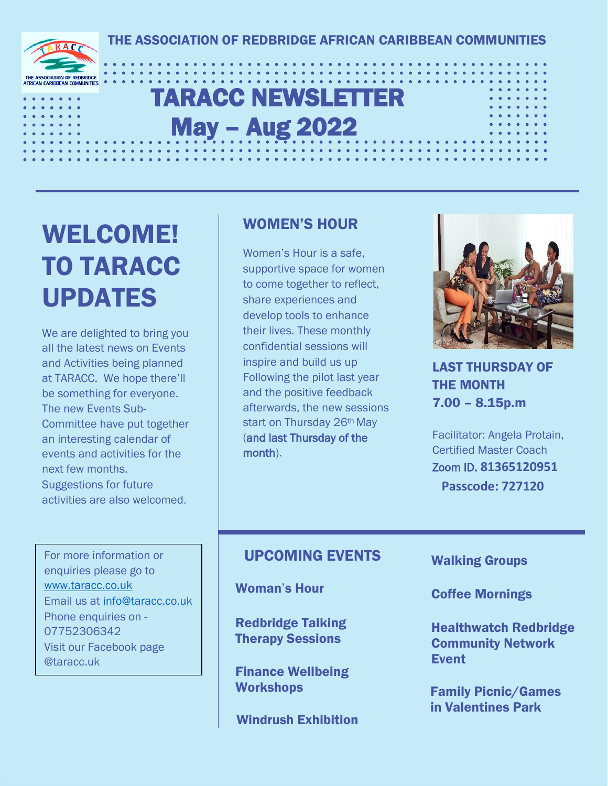# TARACC NEWSLETTER May – Aug 2022

# WELCOME! TO TARACC UPDATES

**SSOCIATION OF REDBRIDGE** 

We are delighted to bring you all the latest news on Events and Activities being planned at TARACC. We hope there'll be something for everyone. The new Events Sub-Committee have put together an interesting calendar of events and activities for the next few months. Suggestions for future activities are also welcomed.

### WOMEN'S HOUR

Women's Hour is a safe, supportive space for women to come together to reflect, share experiences and develop tools to enhance their lives. These monthly confidential sessions will inspire and build us up Following the pilot last year and the positive feedback afterwards, the new sessions start on Thursday 26<sup>th</sup> May (and last Thursday of the month).



LAST THURSDAY OF THE MONTH 7.00 – 8.15p.m

Facilitator: Angela Protain, Certified Master Coach Zoom ID. **81365120951 Passcode: 727120**

For more information or enquiries please go to [www.taracc.co.uk](http://www.taracc.co.uk/) Email us at [info@taracc.co.uk](mailto:info@taracc.co.uk) Phone enquiries on - 07752306342 Visit our Facebook page @taracc.uk

### UPCOMING EVENTS

Woman's Hour

Redbridge Talking Therapy Sessions

Finance Wellbeing **Workshops** 

Windrush Exhibition

Walking Groups

Coffee Mornings

Healthwatch Redbridge Community Network Event

Family Picnic/Games in Valentines Park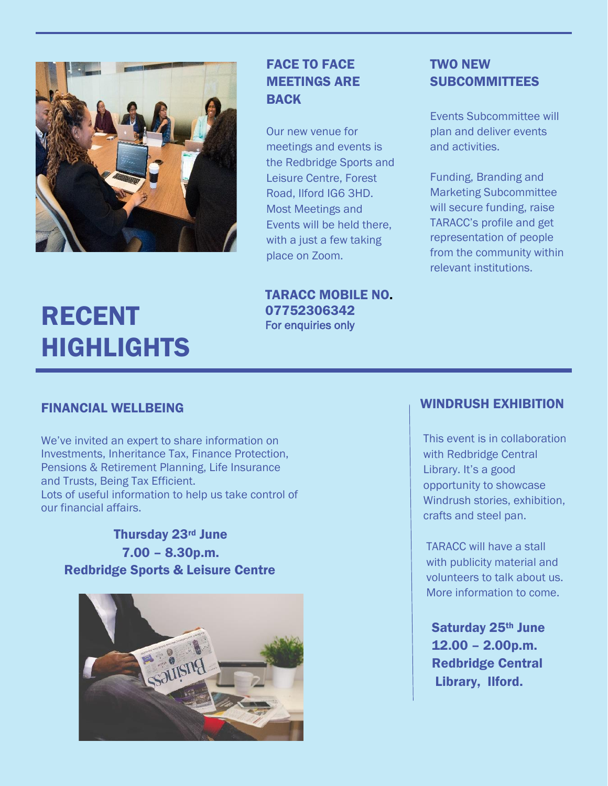

# RECENT HIGHLIGHTS

#### FACE TO FACE MEETINGS ARE BACK

Our new venue for meetings and events is the Redbridge Sports and Leisure Centre, Forest Road, Ilford IG6 3HD. Most Meetings and Events will be held there, with a just a few taking place on Zoom.

TARACC MOBILE NO. 07752306342 For enquiries only

#### TWO NEW **SUBCOMMITTEES**

Events Subcommittee will plan and deliver events and activities.

Funding, Branding and Marketing Subcommittee will secure funding, raise TARACC's profile and get representation of people from the community within relevant institutions.

#### FINANCIAL WELLBEING

We've invited an expert to share information on Investments, Inheritance Tax, Finance Protection, Pensions & Retirement Planning, Life Insurance and Trusts, Being Tax Efficient. Lots of useful information to help us take control of our financial affairs.

Thursday 23rd June 7.00 – 8.30p.m. Redbridge Sports & Leisure Centre



#### WINDRUSH EXHIBITION

 This event is in collaboration with Redbridge Central Library. It's a good opportunity to showcase Windrush stories, exhibition, crafts and steel pan.

 TARACC will have a stall with publicity material and volunteers to talk about us. More information to come.

Saturday 25th June 12.00 – 2.00p.m. Redbridge Central Library, Ilford.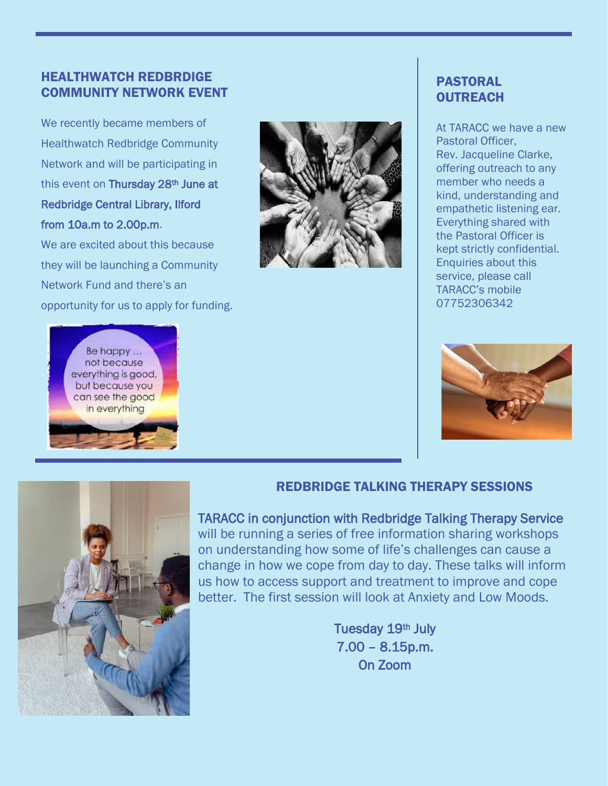#### HEALTHWATCH REDBRDIGE COMMUNITY NETWORK EVENT

We recently became members of Healthwatch Redbridge Community Network and will be participating in this event on Thursday 28<sup>th</sup> June at Redbridge Central Library, Ilford from 10a.m to 2.00p.m.

We are excited about this because they will be launching a Community Network Fund and there's an opportunity for us to apply for funding.



#### PASTORAL **OUTREACH**

At TARACC we have a new Pastoral Officer, Rev. Jacqueline Clarke, offering outreach to any member who needs a kind, understanding and empathetic listening ear. Everything shared with the Pastoral Officer is kept strictly confidential. Enquiries about this service, please call TARACC's mobile 07752306342





#### REDBRIDGE TALKING THERAPY SESSIONS

TARACC in conjunction with Redbridge Talking Therapy Service will be running a series of free information sharing workshops on understanding how some of life's challenges can cause a change in how we cope from day to day. These talks will inform us how to access support and treatment to improve and cope better. The first session will look at Anxiety and Low Moods.

> Tuesday 19th July 7.00 – 8.15p.m. On Zoom